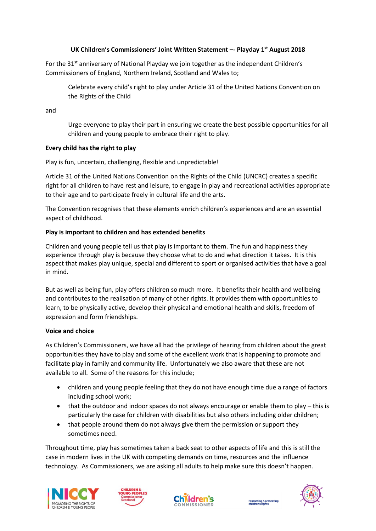# **UK Children's Commissioners' Joint Written Statement –- Playday 1st August 2018**

For the 31<sup>st</sup> anniversary of National Playday we join together as the independent Children's Commissioners of England, Northern Ireland, Scotland and Wales to;

Celebrate every child's right to play under Article 31 of the United Nations Convention on the Rights of the Child

and

Urge everyone to play their part in ensuring we create the best possible opportunities for all children and young people to embrace their right to play.

## **Every child has the right to play**

Play is fun, uncertain, challenging, flexible and unpredictable!

Article 31 of the United Nations Convention on the Rights of the Child (UNCRC) creates a specific right for all children to have rest and leisure, to engage in play and recreational activities appropriate to their age and to participate freely in cultural life and the arts.

The Convention recognises that these elements enrich children's experiences and are an essential aspect of childhood.

## **Play is important to children and has extended benefits**

Children and young people tell us that play is important to them. The fun and happiness they experience through play is because they choose what to do and what direction it takes. It is this aspect that makes play unique, special and different to sport or organised activities that have a goal in mind.

But as well as being fun, play offers children so much more. It benefits their health and wellbeing and contributes to the realisation of many of other rights. It provides them with opportunities to learn, to be physically active, develop their physical and emotional health and skills, freedom of expression and form friendships.

#### **Voice and choice**

As Children's Commissioners, we have all had the privilege of hearing from children about the great opportunities they have to play and some of the excellent work that is happening to promote and facilitate play in family and community life. Unfortunately we also aware that these are not available to all. Some of the reasons for this include;

- children and young people feeling that they do not have enough time due a range of factors including school work;
- that the outdoor and indoor spaces do not always encourage or enable them to play this is particularly the case for children with disabilities but also others including older children;
- that people around them do not always give them the permission or support they sometimes need.

Throughout time, play has sometimes taken a back seat to other aspects of life and this is still the case in modern lives in the UK with competing demands on time, resources and the influence technology. As Commissioners, we are asking all adults to help make sure this doesn't happen.